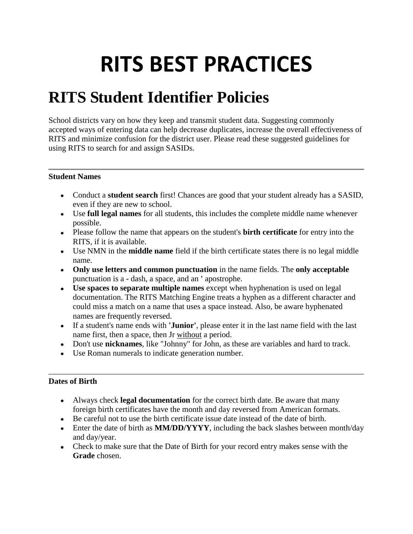# **RITS BEST PRACTICES**

## **RITS Student Identifier Policies**

School districts vary on how they keep and transmit student data. Suggesting commonly accepted ways of entering data can help decrease duplicates, increase the overall effectiveness of RITS and minimize confusion for the district user. Please read these suggested guidelines for using RITS to search for and assign SASIDs.

#### **Student Names**

- Conduct a **student search** first! Chances are good that your student already has a SASID, even if they are new to school.
- Use **full legal names** for all students, this includes the complete middle name whenever possible.
- Please follow the name that appears on the student's **birth certificate** for entry into the RITS, if it is available.
- Use NMN in the **middle name** field if the birth certificate states there is no legal middle name.
- **Only use letters and common punctuation** in the name fields. The **only acceptable** punctuation is a **-** dash, a space, and an **'** apostrophe.
- **Use spaces to separate multiple names** except when hyphenation is used on legal documentation. The RITS Matching Engine treats a hyphen as a different character and could miss a match on a name that uses a space instead. Also, be aware hyphenated names are frequently reversed.
- If a student's name ends with **'Junior'**, please enter it in the last name field with the last name first, then a space, then Jr without a period.
- Don't use **nicknames**, like "Johnny" for John, as these are variables and hard to track.
- Use Roman numerals to indicate generation number.

#### **Dates of Birth**

- Always check **legal documentation** for the correct birth date. Be aware that many foreign birth certificates have the month and day reversed from American formats.
- Be careful not to use the birth certificate issue date instead of the date of birth.
- Enter the date of birth as **MM/DD/YYYY**, including the back slashes between month/day and day/year.
- Check to make sure that the Date of Birth for your record entry makes sense with the **Grade** chosen.